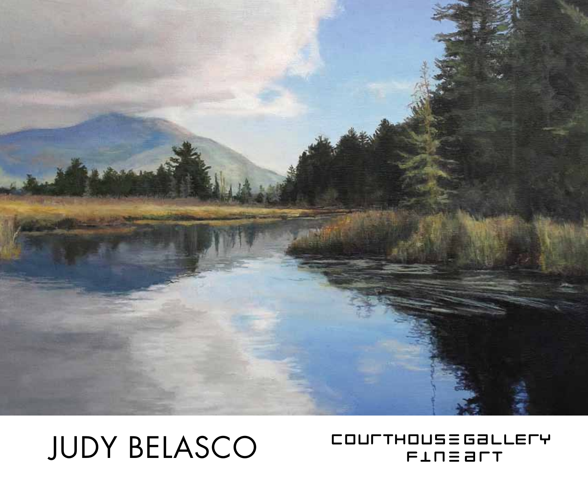

## judy belasco

### COULTHOUS = GALLELA **FINE ALT**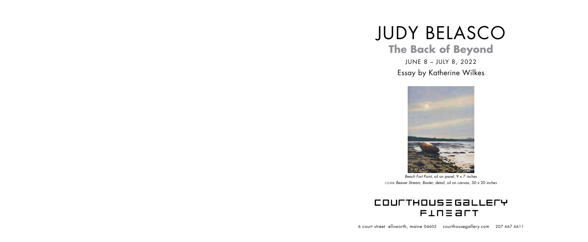# judy belasco **The Back of Beyond**

june 8 – JUly 8, 2022 Essay by Katherine Wilkes

6 court street ellsworth, maine 04605 courthousegallery.com 207 667 6611



## COULTHOUS = GALLELA **FINE BLT**

cover *Beaver Stream*, *Baxter*, detail, oil on canvas, 30 x 20 inches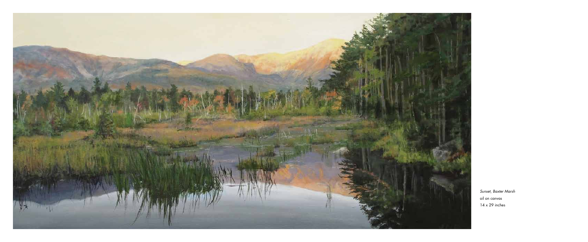

*Sunset*, *Baxter Marsh* oil on canvas 14 x 29 inches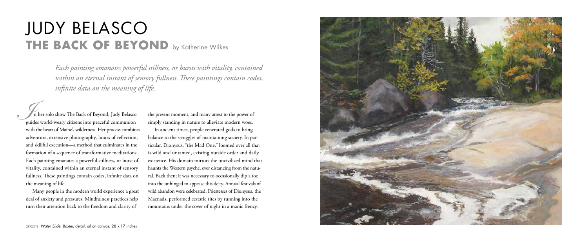Many people in the modern world experience a great deal of anxiety and pressures. Mindfulness practices help turn their attention back to the freedom and clarity of

## judy belasco **THE BACK OF BEYOND** by Katherine Wilkes

the present moment, and many attest to the power of simply standing in nature to alleviate modern woes.

In ancient times, people venerated gods to bring balance to the struggles of maintaining society. In particular, Dionysus, "the Mad One," loomed over all that is wild and untamed, existing outside order and daily existence. His domain mirrors the uncivilized mind that haunts the Western psyche, ever distancing from the natural. Back then; it was necessary to occasionally dip a toe into the unhinged to appease this deity. Annual festivals of wild abandon were celebrated. Priestesses of Dionysus, the Maenads, performed ecstatic rites by running into the mountains under the cover of night in a manic frenzy.



*Each painting emanates powerful stillness, or bursts with vitality, contained within an eternal instant of sensory fullness. These paintings contain codes, infinite data on the meaning of life.*

 n her solo show The Back of Beyond, Judy Belasco guides world-weary citizens into peaceful communion with the heart of Maine's wilderness. Her process combines adventure, extensive photography, hours of reflection, and skillful execution—a method that culminates in the formation of a sequence of transformative meditations. Each painting emanates a powerful stillness, or burst of vitality, contained within an eternal instant of sensory fullness. These paintings contain codes, infinite data on the meaning of life. **Index**<br>Index<br>Index<br>Index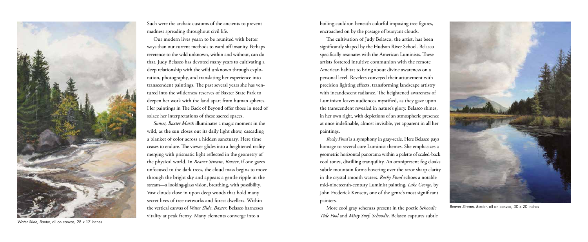Such were the archaic customs of the ancients to prevent madness spreading throughout civil life.

Our modern lives yearn to be reunited with better ways than our current methods to ward off insanity. Perhaps reverence to the wild unknown, within and without, can do that. Judy Belasco has devoted many years to cultivating a deep relationship with the wild unknown through exploration, photography, and translating her experience into transcendent paintings. The past several years she has ventured into the wilderness reserves of Baxter State Park to deepen her work with the land apart from human spheres. Her paintings in The Back of Beyond offer those in need of solace her interpretations of these sacred spaces.

*Sunset, Baxter Marsh* illuminates a magic moment in the wild, as the sun closes out its daily light show, cascading a blanket of color across a hidden sanctuary. Here time ceases to endure. The viewer glides into a heightened reality merging with prismatic light reflected in the geometry of the physical world. In *Beaver Stream*, *Baxter*, if one gazes unfocused to the dark trees, the cloud mass begins to move through the bright sky and appears a gentle ripple in the stream—a looking-glass vision, breathing, with possibility. Vast clouds close in upon deep woods that hold many secret lives of tree networks and forest dwellers. Within the vertical canvas of *Water Slide*, *Baxter*, Belasco harnesses vitality at peak frenzy. Many elements converge into a



*Beaver Stream, Baxter*, oil on canvas, 30 x 20 inches

boiling cauldron beneath colorful imposing tree figures, encroached on by the passage of buoyant clouds.

The cultivation of Judy Belasco, the artist, has been significantly shaped by the Hudson River School. Belasco specifically resonates with the American Luminists. These artists fostered intuitive communion with the remote American habitat to bring about divine awareness on a personal level. Revelers conveyed their attunement with precision lighting effects, transforming landscape artistry with incandescent radiance. The heightened awareness of Luminism leaves audiences mystified, as they gaze upon the transcendent revealed in nature's glory. Belasco shines, in her own right, with depictions of an atmospheric presence at once indefinable, almost invisible, yet apparent in all her paintings.

*Rocky Pond* is a symphony in gray-scale. Here Belasco pays homage to several core Luminist themes. She emphasizes a geometric horizontal panorama within a palette of scaled-back cool tones, distilling tranquility. An omnipresent fog cloaks subtle mountain forms hovering over the razor sharp clarity in the crystal smooth waters. *Rocky Pond* echoes a notable mid-nineteenth-century Luminist painting, *Lake George*, by John Frederick Kensett, one of the genre's most significant painters.

More cool gray schemas present in the poetic *Schoodic Tide Pool* and *Misty Surf*, *Schoodic*. Belasco captures subtle



*Water Slide, Baxter,* oil on canvas, 28 x 17 inches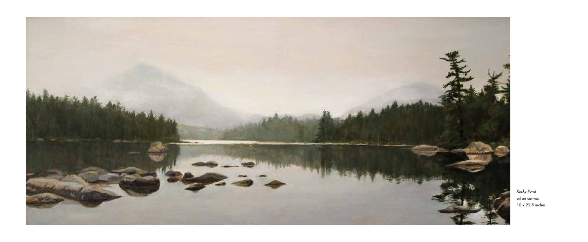

*Rocky Pond* oil on canvas 10 x 22.5 inches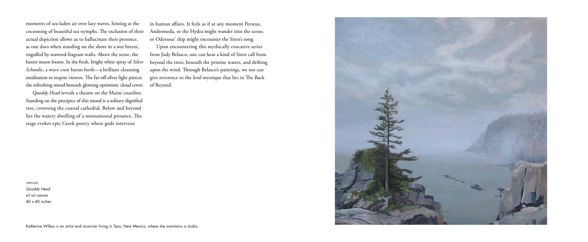moments of sea-laden air over lazy waves, hinting at the cocooning of beautiful sea nymphs. The exclusion of their actual depiction allows us to hallucinate their presence, as one does when standing on the shore in a wet breeze, engulfed by seaweed-fragrant wafts. Above the scene, the barest moon looms. In the fresh, bright white spray of *Silver Schoodic*, a wave crest bursts forth—a brilliant cleansing meditation to inspire viewers. The far-off silver light pierces the refreshing mood beneath glowing optimistic cloud cover.

*Quoddy Head* reveals a theatre on the Maine coastline. Standing on the precipice of this mood is a solitary dignified tree, crowning the coastal cathedral. Below and beyond lies the watery dwelling of a monumental presence. The stage evokes epic Greek poetry where gods intervene

in human affairs. It feels as if at any moment Perseus, Andromeda, or the Hydra might wander into the scene; or Odysseus' ship might encounter the Siren's song.

Upon encountering this mythically evocative series from Judy Belasco, one can hear a kind of Siren call from beyond the trees, beneath the pristine waters, and drifting upon the wind. Through Belasco's paintings, we too can give reverence to the feral mystique that lies in The Back of Beyond.

opposite

*Quoddy Head* oil on canvas 40 x 40 inches



Katherine Wilkes is an artist and musician living in Taos, New Mexico, where she maintains a studio.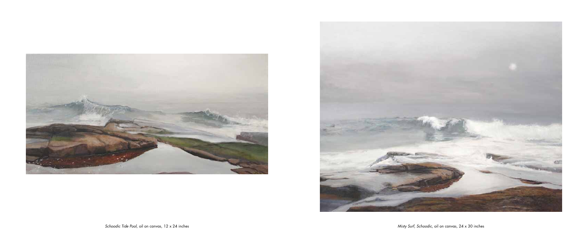

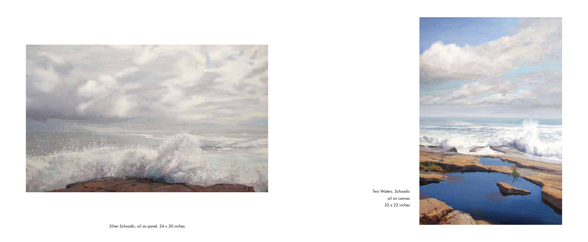*Silver Schoodic*, oil on panel, 24 x 30 inches





*Two Waters, Schoodic* oil on canvas 32 x 22 inches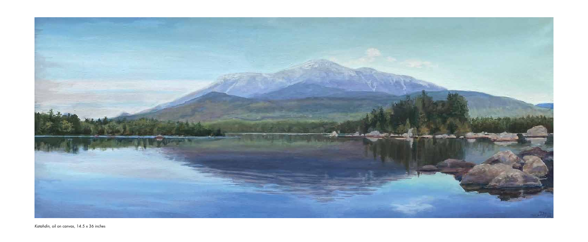

*Katahdin*, oil on canvas, 14.5 x 36 inches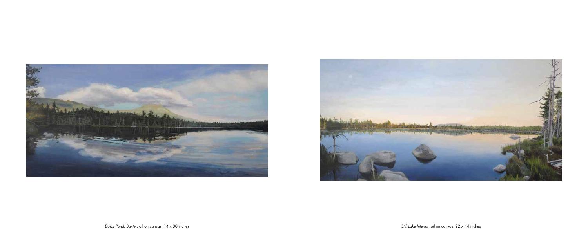

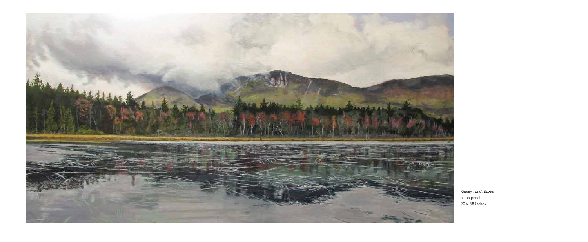

*Kidney Pond*, *Baxter* oil on panel 20 x 38 inches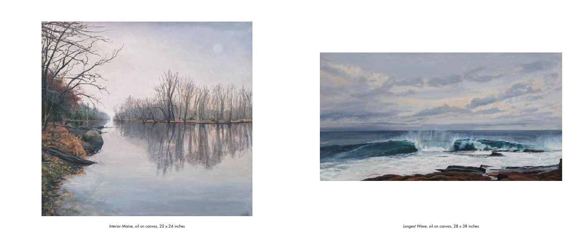

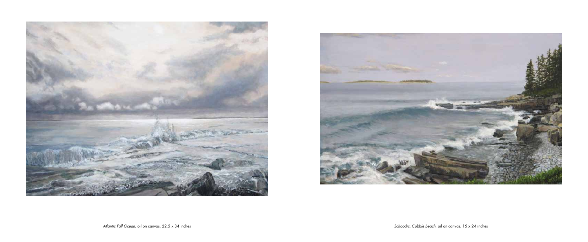

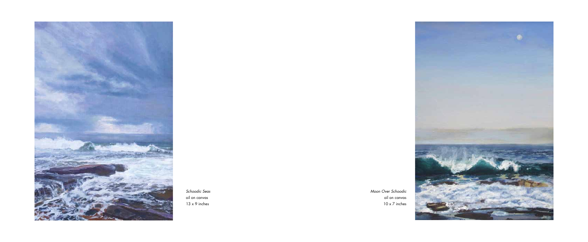*Moon Over Schoodic* oil on canvas 10 x 7 inches





*Schoodic Seas* oil on canvas 13 x 9 inches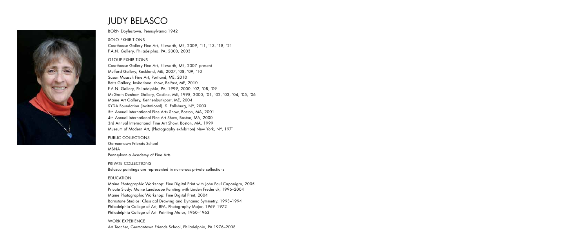

## judy belasco

BORN Doylestown, Pennsylvania 1942

solo Exhibitions Courthouse Gallery Fine Art, Ellsworth, ME, 2009, '11, '13, '18, '21 F.A.N. Gallery, Philadelphia, PA, 2000, 2003

#### GROUP EXHIBITIONS

Courthouse Gallery Fine Art, Ellsworth, ME, 2007–present Mulford Gallery, Rockland, ME, 2007, '08, '09, '10 Susan Maasch Fine Art, Portland, ME, 2010 Betts Gallery, Invitational show, Belfast, ME, 2010 F.A.N. Gallery, Philadelphia, PA, 1999, 2000, '02, '08, '09 McGrath Dunham Gallery, Castine, ME, 1998, 2000, '01, '02, '03, '04, '05, '06 Maine Art Gallery, Kennenbunkport, ME, 2004 SYDA Foundation (Invitational), S. Fallsburg, NY, 2003 5th Annual International Fine Arts Show, Boston, MA, 2001 4th Annual International Fine Art Show, Boston, MA, 2000 3rd Annual International Fine Art Show, Boston, MA, 1999 Museum of Modern Art, (Photography exhibition) New York, NY, 1971

#### PUBLIC COLLECTIONS

Germantown Friends School MBNA Pennsylvania Academy of Fine Arts

PRIVATE COLLECTIONS Belasco paintings are represented in numerous private collections

#### EDUCATION

Maine Photographic Workshop: Fine Digital Print with John Paul Caponigro, 2005 Private Study: Maine Landscape Painting with Linden Frederick, 1996–2004 Maine Photographic Workshop: Fine Digital Print, 2004 Barnstone Studios: Classical Drawing and Dynamic Symmetry, 1993–1994 Philadelphia College of Art, BFA, Photography Major, 1969–1972 Philadelphia College of Art: Painting Major, 1960–1963

#### WORK EXPERIENCE Art Teacher, Germantown Friends School, Philadelphia, PA 1976–2008